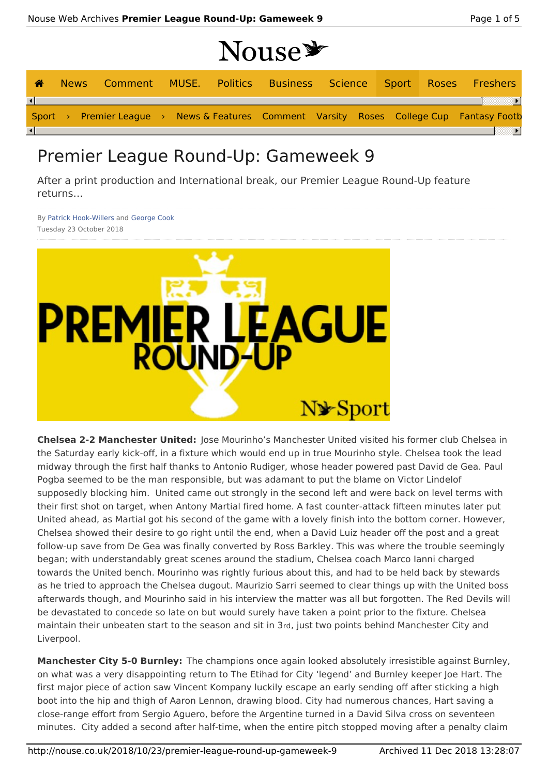# Nouse \*

| $\bigwedge$ |  |  |  |  |  | News Comment MUSE. Politics Business Science Sport Roses Freshers                        |
|-------------|--|--|--|--|--|------------------------------------------------------------------------------------------|
|             |  |  |  |  |  |                                                                                          |
|             |  |  |  |  |  | Sport > Premier League > News & Features Comment Varsity Roses College Cup Fantasy Footb |
|             |  |  |  |  |  |                                                                                          |

## Premier League Round-Up: Gameweek 9

After a print production and International break, our Premier League Round-Up feature returns…

By Patrick Hook-Willers and George Cook Tuesday 23 October 2018



**Chelsea 2-2 Manchester United:** Jose Mourinho's Manchester United visited his former club Chelsea in the Saturday early kick-off, in a fixture which would end up in true Mourinho style. Chelsea took the lead midway through the first half thanks to Antonio Rudiger, whose header powered past David de Gea. Paul Pogba seemed to be the man responsible, but was adamant to put the blame on Victor Lindelof supposedly blocking him. United came out strongly in the second left and were back on level terms with their first shot on target, when Antony Martial fired home. A fast counter-attack fifteen minutes later put United ahead, as Martial got his second of the game with a lovely finish into the bottom corner. However, Chelsea showed their desire to go right until the end, when a David Luiz header off the post and a great follow-up save from De Gea was finally converted by Ross Barkley. This was where the trouble seemingly began; with understandably great scenes around the stadium, Chelsea coach Marco Ianni charged towards the United bench. Mourinho was rightly furious about this, and had to be held back by stewards as he tried to approach the Chelsea dugout. Maurizio Sarri seemed to clear things up with the United boss afterwards though, and Mourinho said in his interview the matter was all but forgotten. The Red Devils will be devastated to concede so late on but would surely have taken a point prior to the fixture. Chelsea maintain their unbeaten start to the season and sit in 3rd, just two points behind Manchester City and Liverpool.

**Manchester City 5-0 Burnley:** The champions once again looked absolutely irresistible against Burnley, on what was a very disappointing return to The Etihad for City 'legend' and Burnley keeper Joe Hart. The first major piece of action saw Vincent Kompany luckily escape an early sending off after sticking a high boot into the hip and thigh of Aaron Lennon, drawing blood. City had numerous chances, Hart saving a close-range effort from Sergio Aguero, before the Argentine turned in a David Silva cross on seventeen minutes. City added a second after half-time, when the entire pitch stopped moving after a penalty claim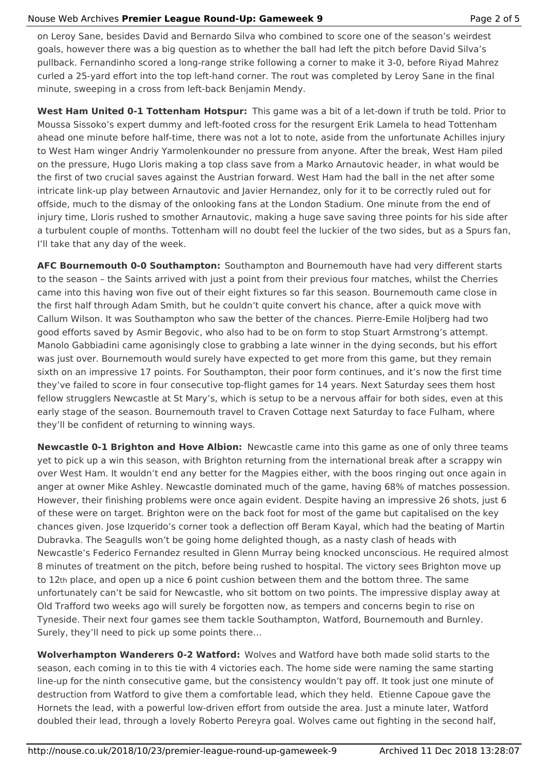#### Nouse Web Archives **Premier League Round-Up: Gameweek 9** Page 2 of 5

on Leroy Sane, besides David and Bernardo Silva who combined to score one of the season's weirdest goals, however there was a big question as to whether the ball had left the pitch before David Silva's pullback. Fernandinho scored a long-range strike following a corner to make it 3-0, before Riyad Mahrez curled a 25-yard effort into the top left-hand corner. The rout was completed by Leroy Sane in the final minute, sweeping in a cross from left-back Benjamin Mendy.

**West Ham United 0-1 Tottenham Hotspur:** This game was a bit of a let-down if truth be told. Prior to Moussa Sissoko's expert dummy and left-footed cross for the resurgent Erik Lamela to head Tottenham ahead one minute before half-time, there was not a lot to note, aside from the unfortunate Achilles injury to West Ham winger Andriy Yarmolenkounder no pressure from anyone. After the break, West Ham piled on the pressure, Hugo Lloris making a top class save from a Marko Arnautovic header, in what would be the first of two crucial saves against the Austrian forward. West Ham had the ball in the net after some intricate link-up play between Arnautovic and Javier Hernandez, only for it to be correctly ruled out for offside, much to the dismay of the onlooking fans at the London Stadium. One minute from the end of injury time, Lloris rushed to smother Arnautovic, making a huge save saving three points for his side after a turbulent couple of months. Tottenham will no doubt feel the luckier of the two sides, but as a Spurs fan, I'll take that any day of the week.

**AFC Bournemouth 0-0 Southampton:** Southampton and Bournemouth have had very different starts to the season – the Saints arrived with just a point from their previous four matches, whilst the Cherries came into this having won five out of their eight fixtures so far this season. Bournemouth came close in the first half through Adam Smith, but he couldn't quite convert his chance, after a quick move with Callum Wilson. It was Southampton who saw the better of the chances. Pierre-Emile Holjberg had two good efforts saved by Asmir Begovic, who also had to be on form to stop Stuart Armstrong's attempt. Manolo Gabbiadini came agonisingly close to grabbing a late winner in the dying seconds, but his effort was just over. Bournemouth would surely have expected to get more from this game, but they remain sixth on an impressive 17 points. For Southampton, their poor form continues, and it's now the first time they've failed to score in four consecutive top-flight games for 14 years. Next Saturday sees them host fellow strugglers Newcastle at St Mary's, which is setup to be a nervous affair for both sides, even at this early stage of the season. Bournemouth travel to Craven Cottage next Saturday to face Fulham, where they'll be confident of returning to winning ways.

**Newcastle 0-1 Brighton and Hove Albion:** Newcastle came into this game as one of only three teams yet to pick up a win this season, with Brighton returning from the international break after a scrappy win over West Ham. It wouldn't end any better for the Magpies either, with the boos ringing out once again in anger at owner Mike Ashley. Newcastle dominated much of the game, having 68% of matches possession. However, their finishing problems were once again evident. Despite having an impressive 26 shots, just 6 of these were on target. Brighton were on the back foot for most of the game but capitalised on the key chances given. Jose Izquerido's corner took a deflection off Beram Kayal, which had the beating of Martin Dubravka. The Seagulls won't be going home delighted though, as a nasty clash of heads with Newcastle's Federico Fernandez resulted in Glenn Murray being knocked unconscious. He required almost 8 minutes of treatment on the pitch, before being rushed to hospital. The victory sees Brighton move up to 12th place, and open up a nice 6 point cushion between them and the bottom three. The same unfortunately can't be said for Newcastle, who sit bottom on two points. The impressive display away at Old Trafford two weeks ago will surely be forgotten now, as tempers and concerns begin to rise on Tyneside. Their next four games see them tackle Southampton, Watford, Bournemouth and Burnley. Surely, they'll need to pick up some points there…

**Wolverhampton Wanderers 0-2 Watford:** Wolves and Watford have both made solid starts to the season, each coming in to this tie with 4 victories each. The home side were naming the same starting line-up for the ninth consecutive game, but the consistency wouldn't pay off. It took just one minute of destruction from Watford to give them a comfortable lead, which they held. Etienne Capoue gave the Hornets the lead, with a powerful low-driven effort from outside the area. Just a minute later, Watford doubled their lead, through a lovely Roberto Pereyra goal. Wolves came out fighting in the second half,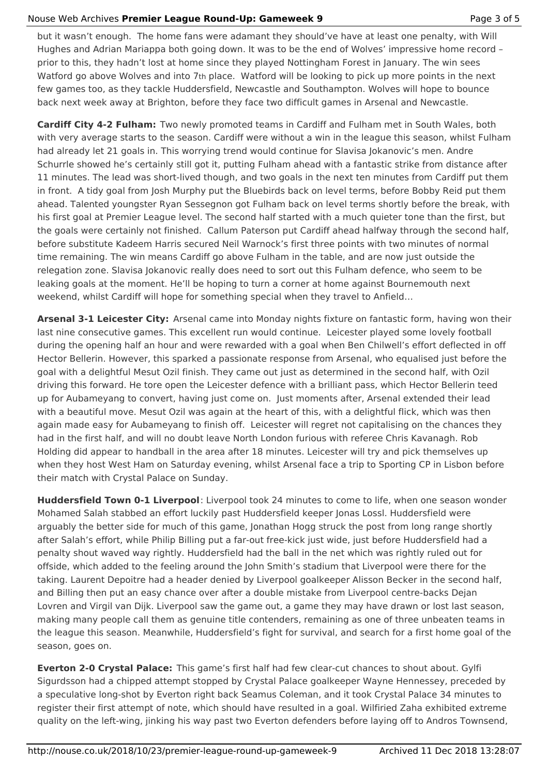### Nouse Web Archives **Premier League Round-Up: Gameweek 9** Page 3 of 5

but it wasn't enough. The home fans were adamant they should've have at least one penalty, with Will Hughes and Adrian Mariappa both going down. It was to be the end of Wolves' impressive home record – prior to this, they hadn't lost at home since they played Nottingham Forest in January. The win sees Watford go above Wolves and into 7th place. Watford will be looking to pick up more points in the next few games too, as they tackle Huddersfield, Newcastle and Southampton. Wolves will hope to bounce back next week away at Brighton, before they face two difficult games in Arsenal and Newcastle.

**Cardiff City 4-2 Fulham:** Two newly promoted teams in Cardiff and Fulham met in South Wales, both with very average starts to the season. Cardiff were without a win in the league this season, whilst Fulham had already let 21 goals in. This worrying trend would continue for Slavisa Jokanovic's men. Andre Schurrle showed he's certainly still got it, putting Fulham ahead with a fantastic strike from distance after 11 minutes. The lead was short-lived though, and two goals in the next ten minutes from Cardiff put them in front. A tidy goal from Josh Murphy put the Bluebirds back on level terms, before Bobby Reid put them ahead. Talented youngster Ryan Sessegnon got Fulham back on level terms shortly before the break, with his first goal at Premier League level. The second half started with a much quieter tone than the first, but the goals were certainly not finished. Callum Paterson put Cardiff ahead halfway through the second half, before substitute Kadeem Harris secured Neil Warnock's first three points with two minutes of normal time remaining. The win means Cardiff go above Fulham in the table, and are now just outside the relegation zone. Slavisa Jokanovic really does need to sort out this Fulham defence, who seem to be leaking goals at the moment. He'll be hoping to turn a corner at home against Bournemouth next weekend, whilst Cardiff will hope for something special when they travel to Anfield…

**Arsenal 3-1 Leicester City:** Arsenal came into Monday nights fixture on fantastic form, having won their last nine consecutive games. This excellent run would continue. Leicester played some lovely football during the opening half an hour and were rewarded with a goal when Ben Chilwell's effort deflected in off Hector Bellerin. However, this sparked a passionate response from Arsenal, who equalised just before the goal with a delightful Mesut Ozil finish. They came out just as determined in the second half, with Ozil driving this forward. He tore open the Leicester defence with a brilliant pass, which Hector Bellerin teed up for Aubameyang to convert, having just come on. Just moments after, Arsenal extended their lead with a beautiful move. Mesut Ozil was again at the heart of this, with a delightful flick, which was then again made easy for Aubameyang to finish off. Leicester will regret not capitalising on the chances they had in the first half, and will no doubt leave North London furious with referee Chris Kavanagh. Rob Holding did appear to handball in the area after 18 minutes. Leicester will try and pick themselves up when they host West Ham on Saturday evening, whilst Arsenal face a trip to Sporting CP in Lisbon before their match with Crystal Palace on Sunday.

**Huddersfield Town 0-1 Liverpool**: Liverpool took 24 minutes to come to life, when one season wonder Mohamed Salah stabbed an effort luckily past Huddersfield keeper Jonas Lossl. Huddersfield were arguably the better side for much of this game, Jonathan Hogg struck the post from long range shortly after Salah's effort, while Philip Billing put a far-out free-kick just wide, just before Huddersfield had a penalty shout waved way rightly. Huddersfield had the ball in the net which was rightly ruled out for offside, which added to the feeling around the John Smith's stadium that Liverpool were there for the taking. Laurent Depoitre had a header denied by Liverpool goalkeeper Alisson Becker in the second half, and Billing then put an easy chance over after a double mistake from Liverpool centre-backs Dejan Lovren and Virgil van Dijk. Liverpool saw the game out, a game they may have drawn or lost last season, making many people call them as genuine title contenders, remaining as one of three unbeaten teams in the league this season. Meanwhile, Huddersfield's fight for survival, and search for a first home goal of the season, goes on.

**Everton 2-0 Crystal Palace:** This game's first half had few clear-cut chances to shout about. Gylfi Sigurdsson had a chipped attempt stopped by Crystal Palace goalkeeper Wayne Hennessey, preceded by a speculative long-shot by Everton right back Seamus Coleman, and it took Crystal Palace 34 minutes to register their first attempt of note, which should have resulted in a goal. Wilfiried Zaha exhibited extreme quality on the left-wing, jinking his way past two Everton defenders before laying off to Andros Townsend,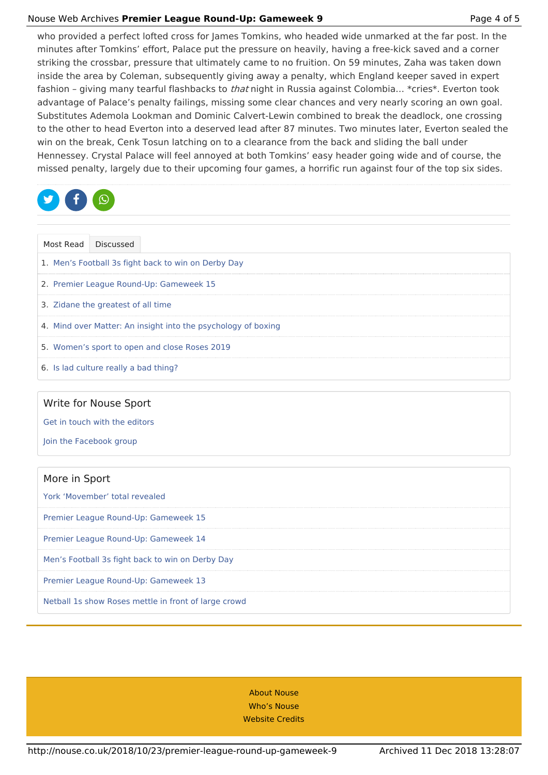#### Nouse Web Archives **Premier League Round-Up: Gameweek 9** Page 4 of 5

who provided a perfect lofted cross for James Tomkins, who headed wide unmarked at the far post. In the minutes after Tomkins' effort, Palace put the pressure on heavily, having a free-kick saved and a corner striking the crossbar, pressure that ultimately came to no fruition. On 59 minutes, Zaha was taken down inside the area by Coleman, subsequently giving away a penalty, which England keeper saved in expert fashion - giving many tearful flashbacks to *that* night in Russia against Colombia... \*cries\*. Everton took advantage of Palace's penalty failings, missing some clear chances and very nearly scoring an own goal. Substitutes Ademola Lookman and Dominic Calvert-Lewin combined to break the deadlock, one crossing to the other to head Everton into a deserved lead after 87 minutes. Two minutes later, Everton sealed the win on the break, Cenk Tosun latching on to a clearance from the back and sliding the ball under Hennessey. Crystal Palace will feel annoyed at both Tomkins' easy header going wide and of course, the missed penalty, largely due to their upcoming four games, a horrific run against four of the top six sides.



| Most Read Discussed                                           |                                               |  |  |  |  |  |  |  |  |  |
|---------------------------------------------------------------|-----------------------------------------------|--|--|--|--|--|--|--|--|--|
| 1. Men's Football 3s fight back to win on Derby Day           |                                               |  |  |  |  |  |  |  |  |  |
| 2. Premier League Round-Up: Gameweek 15                       |                                               |  |  |  |  |  |  |  |  |  |
| 3. Zidane the greatest of all time                            |                                               |  |  |  |  |  |  |  |  |  |
| 4. Mind over Matter: An insight into the psychology of boxing |                                               |  |  |  |  |  |  |  |  |  |
|                                                               | 5. Women's sport to open and close Roses 2019 |  |  |  |  |  |  |  |  |  |
|                                                               | 6. Is lad culture really a bad thing?         |  |  |  |  |  |  |  |  |  |

### Write for Nouse Sport

Get in touch with the editors

Join the Facebook group

| More in Sport                                        |
|------------------------------------------------------|
| York 'Movember' total revealed                       |
| Premier League Round-Up: Gameweek 15                 |
| Premier League Round-Up: Gameweek 14                 |
| Men's Football 3s fight back to win on Derby Day     |
| Premier League Round-Up: Gameweek 13                 |
| Netball 1s show Roses mettle in front of large crowd |

About Nouse Who's Nouse Website Credits